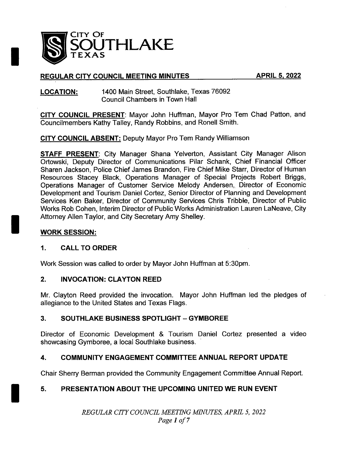

# REGULAR CITY COUNCIL MEETING MINUTES APRIL 5, 2022

### LOCATION: 1400 Main Street, Southlake, Texas 76092 Council Chambers in Town Hall

CITY COUNCIL PRESENT: Mayor John Huffman, Mayor Pro Tem Chad Patton, and Councilmembers Kathy Talley, Randy Robbins, and Ronell Smith.

CITY COUNCIL ABSENT: Deputy Mayor Pro Tem Randy Williamson

STAFF PRESENT: City Manager Shana Yelverton, Assistant City Manager Alison Ortowski, Deputy Director of Communications Pilar Schank, Chief Financial Officer Sharen Jackson, Police Chief James Brandon, Fire Chief Mike Starr, Director of Human Resources Stacey Black, Operations Manager of Special Projects Robert Briggs, Operations Manager of Customer Service Melody Andersen,, Director of Economic Development and Tourism Daniel Cortez, Senior Director of Planning and Development Services Ken Baker, Director of Community Services Chris Tribble, Director of Public Works Rob Cohen, Interim Director of Public Works Administration Lauren LaNeave, City Attorney Allen Taylor, and City Secretary Amy Shelley.

## WORK SESSION:

## 1. CALL TO ORDER

Work Session was called to order by Mayor John Huffman at 5: 30pm.

### 2. INVOCATION: CLAYTON REED

Mr. Clayton Reed provided the invocation. Mayor John Huffman led the pledges of allegiance to the United States and Texas Flags.

## 3. SOUTHLAKE BUSINESS SPOTLIGHT —GYMBOREE

Director of Economic Development & Tourism Daniel Cortez presented a video showcasing Gymboree, a local Southlake business.

## 4. COMMUNITY ENGAGEMENT COMMITTEE ANNUAL REPORT UPDATE

Chair Sherry Berman provided the Community Engagement Committee Annual Report.

## 5. PRESENTATION ABOUT THE UPCOMING UNITED WE RUN EVENT

REGULAR CITY COUNCIL MEETING MINUTES, APRIL 5, 2022 Page <sup>1</sup> of <sup>7</sup>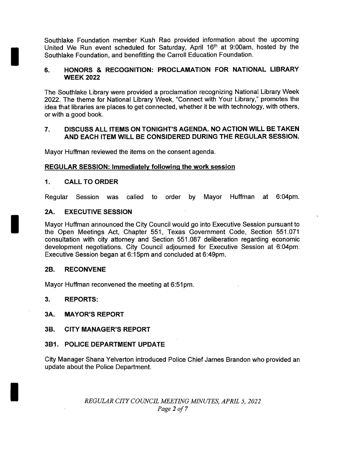Southlake Foundation member Kush Rao provided information about the upcoming United We Run event scheduled for Saturday, April 16<sup>th</sup> at 9:00am, hosted by the Southlake Foundation, and benefitting the Carroll Education Foundation.

### 6. HONORS & RECOGNITION: PROCLAMATION FOR NATIONAL LIBRARY WEEK 2022

The Southlake Library were provided a proclamation recognizing National Library Week 2022. The theme for National Library Week, " Connect with Your Library," promotes the idea that libraries are places to get connected, whether it be with technology, with others, or with a good book.

### 7. DISCUSS ALL ITEMS ON TONIGHT'S AGENDA. NO ACTION WILL BE TAKEN AND EACH ITEM WILL BE CONSIDERED DURING THE REGULAR SESSION.

Mayor Huffman reviewed the items on the consent agenda.

### REGULAR SESSION: Immediately following the work session

#### 1. CALL TO ORDER

Regular Session was called to order by Mayor Huffman at 6:04pm.

#### 2A. EXECUTIVE SESSION

Mayor Huffman announced the City Council would go into Executive Session pursuant to the Open Meetings Act, Chapter 551, Texas Government Code, Section 551. 071 consultation with city attorney and Section 551. 087 deliberation regarding economic development negotiations. City Council adjourned for Executive Session at 6:04pm. Executive Session began at 6: 15pm and concluded at 6: 49pm.

#### 2B. RECONVENE

Mayor Huffman reconvened the meeting at 6:51pm.

3. REPORTS:

### 3A. MAYOR'S REPORT

### 3B. CITY MANAGER'S REPORT

### 3B1. POLICE DEPARTMENT UPDATE

City Manager Shana Yelverton introduced Police Chief James Brandon who provided an update about the Police Department.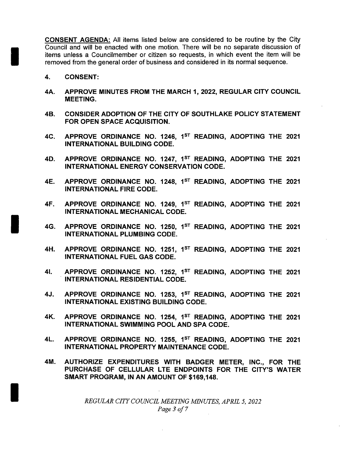CONSENT AGENDA: All items listed below are considered to be routine by the City Council and will be enacted with one motion. There will be no separate discussion of items unless a Councilmember or citizen so requests, in which event the item will be removed from the general order of business and considered in its normal sequence.

- 4. CONSENT:
- 4A. APPROVE MINUTES FROM THE MARCH 1, 2022, REGULAR CITY COUNCIL MEETING.
- 4B. CONSIDER ADOPTION OF THE CITY OF SOUTHLAKE POLICY STATEMENT FOR OPEN SPACE ACQUISITION.
- 4C. APPROVE ORDINANCE NO. 1246, 1<sup>ST</sup> READING, ADOPTING THE 2021 INTERNATIONAL BUILDING CODE.
- 4D. APPROVE ORDINANCE NO. 1247, 1<sup>ST</sup> READING, ADOPTING THE 2021 INTERNATIONAL ENERGY CONSERVATION CODE.
- 4E. APPROVE ORDINANCE NO. 1248, 1<sup>ST</sup> READING, ADOPTING THE 2021 INTERNATIONAL FIRE CODE.
- 4F. APPROVE ORDINANCE NO. 1249, 1<sup>ST</sup> READING, ADOPTING THE 2021 INTERNATIONAL MECHANICAL CODE.
- 4G. APPROVE ORDINANCE NO. 1250, 1<sup>ST</sup> READING, ADOPTING THE 2021 INTERNATIONAL PLUMBING CODE.
- 4H. APPROVE ORDINANCE NO. 1251, 1<sup>ST</sup> READING, ADOPTING THE 2021 INTERNATIONAL FUEL GAS CODE.
- 41. APPROVE ORDINANCE NO. 1252, 1<sup>ST</sup> READING, ADOPTING THE 2021 INTERNATIONAL RESIDENTIAL CODE.
- 4J. APPROVE ORDINANCE NO. 1253, 1<sup>st</sup> READING, ADOPTING THE 2021 INTERNATIONAL EXISTING BUILDING CODE.
- 4K. APPROVE ORDINANCE NO. 1254, 1<sup>st</sup> READING, ADOPTING THE 2021 INTERNATIONAL SWIMMING POOL AND SPA CODE.
- 4L. APPROVE ORDINANCE NO. 1255, 1<sup>ST</sup> READING, ADOPTING THE 2021 INTERNATIONAL PROPERTY MAINTENANCE CODE.
- 4M. AUTHORIZE EXPENDITURES WITH BADGER METER, INC., FOR THE PURCHASE OF CELLULAR LTE ENDPOINTS FOR THE CITY'S WATER SMART PROGRAM, IN AN AMOUNT OF \$169,148.

REGULAR CITY COUNCIL MEETING MINUTES, APRIL 5, 2022 Page <sup>3</sup> of <sup>7</sup>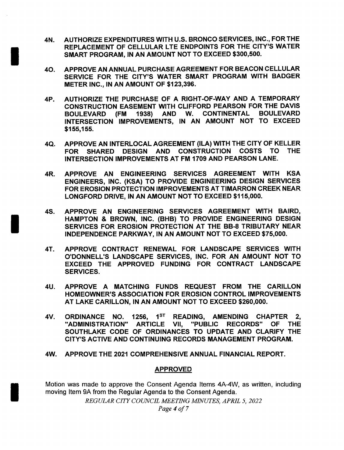- 4N. AUTHORIZE EXPENDITURES WITH U. S. BRONCO SERVICES, INC., FOR THE REPLACEMENT OF CELLULAR LTE ENDPOINTS FOR THE CITY'S WATER SMART PROGRAM, IN AN AMOUNT NOT TO EXCEED \$300,500.
- 40. APPROVE AN ANNUAL PURCHASE AGREEMENT FOR BEACON CELLULAR SERVICE FOR THE CITY'S WATER SMART PROGRAM WITH BADGER METER INC., IN AN AMOUNT OF \$123,396.
- 4P. AUTHORIZE THE PURCHASE OF A RIGHT-OF-WAY AND A TEMPORARY CONSTRUCTION EASEMENT WITH CLIFFORD PEARSON FOR THE DAVIS BOULEVARD ( FM 1938) AND W. CONTINENTAL BOULEVARD INTERSECTION IMPROVEMENTS, IN AN AMOUNT NOT TO EXCEED 155, 155.
- 4Q. APPROVE AN INTERLOCAL AGREEMENT (ILA) WITH THE CITY OF KELLER FOR SHARED DESIGN AND CONSTRUCTION COSTS TO THE INTERSECTION IMPROVEMENTS AT FM 1709 AND PEARSON LANE.
- 4R. APPROVE AN ENGINEERING SERVICES AGREEMENT WITH KSA ENGINEERS, INC. ( KSA) TO PROVIDE ENGINEERING DESIGN SERVICES FOR EROSION PROTECTION IMPROVEMENTS AT TIMARRON CREEK NEAR LONGFORD DRIVE, IN AN AMOUNT NOT TO EXCEED \$115,000.
- 4S. APPROVE AN ENGINEERING SERVICES AGREEMENT WITH BAIRD, HAMPTON & BROWN, INC. (BHB) TO PROVIDE ENGINEERING DESIGN SERVICES FOR EROSION PROTECTION AT THE BB-8 TRIBUTARY NEAR INDEPENDENCE PARKWAY, IN AN AMOUNT NOT TO EXCEED \$75,000.
- 4T. APPROVE CONTRACT RENEWAL FOR LANDSCAPE SERVICES WITH O'DONNELL'S LANDSCAPE SERVICES, INC. FOR AN AMOUNT NOT TO EXCEED THE APPROVED FUNDING FOR CONTRACT LANDSCAPE SERVICES.
- 4U. APPROVE A MATCHING FUNDS REQUEST FROM THE CARILLON HOMEOWNER'S ASSOCIATION FOR EROSION CONTROL IMPROVEMENTS AT LAKE CARILLON, IN AN AMOUNT NOT TO EXCEED \$260,000.
- 4V. ORDINANCE NO. 1256, 1<sup>st</sup> READING, AMENDING CHAPTER 2, "ADMINISTRATION" ARTICLE VII, "PUBLIC RECORDS" OF THE SOUTHLAKE CODE OF ORDINANCES TO UPDATE AND CLARIFY THE CITY'S ACTIVE AND CONTINUING RECORDS MANAGEMENT PROGRAM.
- 4W. APPROVE THE 2021 COMPREHENSIVE ANNUAL FINANCIAL REPORT.

### APPROVED

Motion was made to approve the Consent Agenda Items 4A-4W, as written, including moving Item 9A from the Regular Agenda to the Consent Agenda.

REGULAR CITY COUNCIL MEETING MINUTES, APRIL 5, 2022

Page <sup>4</sup> of <sup>7</sup>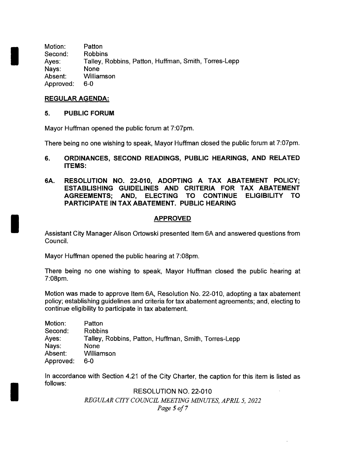Motion: Patton Second: Robbins Ayes: Talley, Robbins, Patton, Huffman, Smith, Torres-Lepp<br>Navs: None Nays: Absent: Williamson Approved: 6-0

### REGULAR AGENDA:

### 5. PUBLIC FORUM

Mayor Huffman opened the public forum at 7:07pm.

There being no one wishing to speak, Mayor Huffman closed the public forum at 7:07pm.

- 6. ORDINANCES, SECOND READINGS, PUBLIC HEARINGS, AND RELATED ITEMS:
- 6A. RESOLUTION NO. 22-010, ADOPTING A TAX ABATEMENT POLICY; ESTABLISHING GUIDELINES AND CRITERIA FOR TAX ABATEMENT AGREEMENTS; AND, ELECTING TO CONTINUE ELIGIBILITY TO PARTICIPATE IN TAX ABATEMENT. PUBLIC HEARING

## APPROVED

Assistant City Manager Alison Ortowski presented Item 6A and answered questions from Council.

Mayor Huffman opened the public hearing at 7:08pm.

There being no one wishing to speak, Mayor Huffman closed the public hearing at 7: 08pm.

Motion was made to approve Item 6A, Resolution No. 22-010, adopting a tax abatement policy; establishing guidelines and criteria for tax abatement agreements; and, electing to continue eligibility to participate in tax abatement.

| Motion:   | Patton                                               |
|-----------|------------------------------------------------------|
| Second:   | <b>Robbins</b>                                       |
| Ayes:     | Talley, Robbins, Patton, Huffman, Smith, Torres-Lepp |
| Nays:     | None                                                 |
| Absent:   | Williamson                                           |
| Approved: | 6-0                                                  |

In accordance with Section 4.21 of the City Charter, the caption for this item is listed as follows:

> RESOLUTION NO. 22-010 REGULAR CITY COUNCIL MEETING MINUTES, APRIL 5, 2022 Page 5 of <sup>7</sup>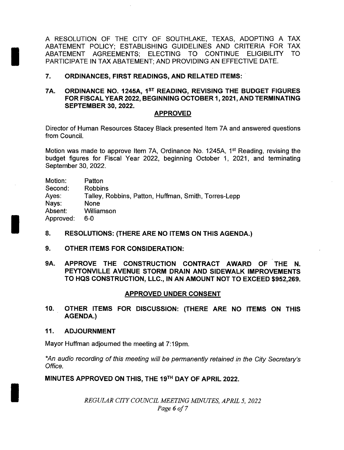A RESOLUTION OF THE CITY OF SOUTHLAKE, TEXAS, ADOPTING A TAX ABATEMENT POLICY; ESTABLISHING GUIDELINES AND CRITERIA FOR TAX ABATEMENT AGREEMENTS; ELECTING TO CONTINUE ELIGIBILITY TO PARTICIPATE IN TAX ABATEMENT; AND PROVIDING AN EFFECTIVE DATE.

#### 7. ORDINANCES, FIRST READINGS, AND RELATED ITEMS:

7A. ORDINANCE NO. 1245A, 1ST READING, REVISING THE BUDGET FIGURES FOR FISCAL YEAR 2022, BEGINNING OCTOBER 1, 2021, AND TERMINATING SEPTEMBER 30, 2022.

#### APPROVED

Director of Human Resources Stacey Black presented Item 7A and answered questions from Council.

Motion was made to approve Item 7A, Ordinance No. 1245A, 1<sup>st</sup> Reading, revising the budget figures for Fiscal Year 2022, beginning October 1, 2021, and terminating September 30, 2022.

Motion: Patton Second: Robbins Ayes: Talley, Robbins, Patton, Huffman, Smith, Torres-Lepp<br>Navs: None Nays: Absent: Williamson Approved: 6-0

- 8. RESOLUTIONS: (THERE ARE NO ITEMS ON THIS AGENDA.)
- 9. OTHER ITEMS FOR CONSIDERATION:
- 9A. APPROVE THE CONSTRUCTION CONTRACT AWARD OF THE N. PEYTONVILLE AVENUE STORM DRAIN AND SIDEWALK IMPROVEMENTS TO HQS CONSTRUCTION, LLC., IN AN AMOUNT NOT TO EXCEED \$952,269.

### APPROVED UNDER CONSENT

10. OTHER ITEMS FOR DISCUSSION: ( THERE ARE NO ITEMS ON THIS AGENDA.)

#### 11. ADJOURNMENT

Mayor Huffman adjourned the meeting at 7:19pm.

An audio recording of this meeting will be permanently retained in the City Secretary's Office.

### MINUTES APPROVED ON THIS, THE 19TH DAY OF APRIL 2022.

REGULAR CITY COUNCIL MEETING MINUTES, APRIL 5, 2022 Page 6 of 7